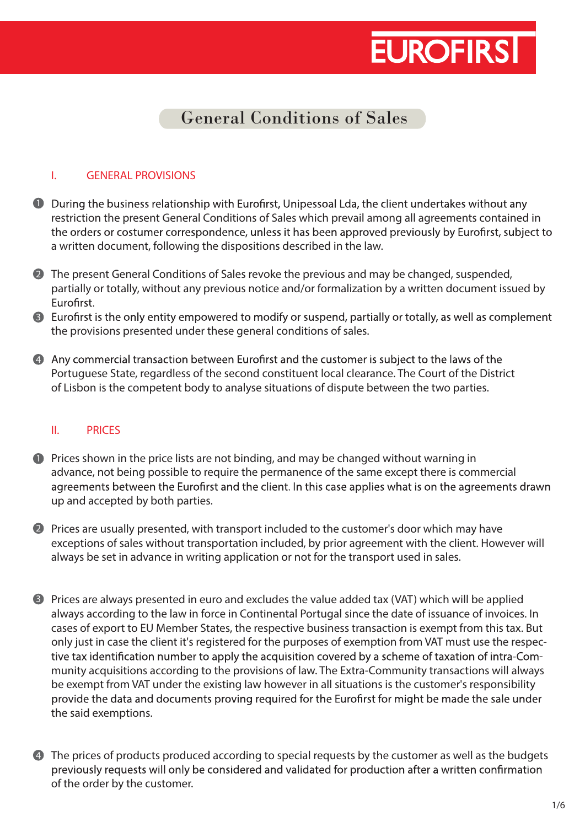### General Conditions of Sales

#### I. GENERAL PROVISIONS

- **1** During the business relationship with Eurofirst, Unipessoal Lda, the client undertakes without any restriction the present General Conditions of Sales which prevail among all agreements contained in the orders or costumer correspondence, unless it has been approved previously by Eurofirst, subject to a written document, following the dispositions described in the law.
- 2 The present General Conditions of Sales revoke the previous and may be changed, suspended, partially or totally, without any previous notice and/or formalization by a written document issued by Eurofirst.
- the provisions presented under these general conditions of sales. Eurofirst is the only entity empowered to modify or suspend, partially or totally, as well as complement
- Portuguese State, regardless of the second constituent local clearance. The Court of the District of Lisbon is the competent body to analyse situations of dispute between the two parties. 4 Any commercial transaction between Eurofirst and the customer is subject to the laws of the

### II. PRICES

- **P** Prices shown in the price lists are not binding, and may be changed without warning in advance, not being possible to require the permanence of the same except there is commercial agreements between the Eurofirst and the client. In this case applies what is on the agreements drawn up and accepted by both parties.
- Prices are usually presented, with transport included to the customer's door which may have 2 exceptions of sales without transportation included, by prior agreement with the client. However will always be set in advance in writing application or not for the transport used in sales.
- Prices are always presented in euro and excludes the value added tax (VAT) which will be applied 3 always according to the law in force in Continental Portugal since the date of issuance of invoices. In cases of export to EU Member States, the respective business transaction is exempt from this tax. But only just in case the client it's registered for the purposes of exemption from VAT must use the respec tive tax identification number to apply the acquisition covered by a scheme of taxation of intra-Community acquisitions according to the provisions of law. The Extra-Community transactions will always be exempt from VAT under the existing law however in all situations is the customer's responsibility provide the data and documents proving required for the Eurofirst for might be made the sale under the said exemptions.
- 4 The prices of products produced according to special requests by the customer as well as the budgets previously requests will only be considered and validated for production after a written confirmation of the order by the customer.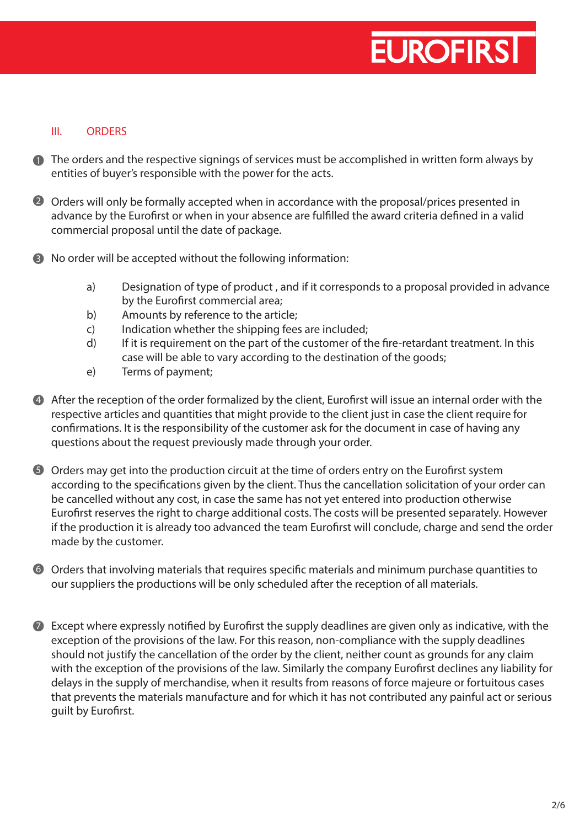### III. ORDERS

- **The orders and the respective signings of services must be accomplished in written form always by** entities of buyer's responsible with the power for the acts.
- 2 Orders will only be formally accepted when in accordance with the proposal/prices presented in advance by the Eurofirst or when in your absence are fulfilled the award criteria defined in a valid commercial proposal until the date of package.
- **3** No order will be accepted without the following information:
	- a) Designation of type of product , and if it corresponds to a proposal provided in advance by the Eurofirst commercial area;
	- b) Amounts by reference to the article;
	- c) Indication whether the shipping fees are included;
	- d) If it is requirement on the part of the customer of the fire-retardant treatment. In this case will be able to vary according to the destination of the goods;
	- e) Terms of payment;
- 4 After the reception of the order formalized by the client, Eurofirst will issue an internal order with the respective articles and quantities that might provide to the client just in case the client require for confirmations. It is the responsibility of the customer ask for the document in case of having any questions about the request previously made through your order.
- $5$  Orders may get into the production circuit at the time of orders entry on the Eurofirst system according to the specifications given by the client. Thus the cancellation solicitation of your order can be cancelled without any cost, in case the same has not yet entered into production otherwise Eurofirst reserves the right to charge additional costs. The costs will be presented separately. However if the production it is already too advanced the team Eurofirst will conclude, charge and send the order made by the customer.
- $\odot$  Orders that involving materials that requires specific materials and minimum purchase quantities to our suppliers the productions will be only scheduled after the reception of all materials.
- $\triangledown$  Except where expressly notified by Eurofirst the supply deadlines are given only as indicative, with the exception of the provisions of the law. For this reason, non-compliance with the supply deadlines should not justify the cancellation of the order by the client, neither count as grounds for any claim with the exception of the provisions of the law. Similarly the company Eurofirst declines any liability for delays in the supply of merchandise, when it results from reasons of force majeure or fortuitous cases that prevents the materials manufacture and for which it has not contributed any painful act or serious guilt by Eurofirst.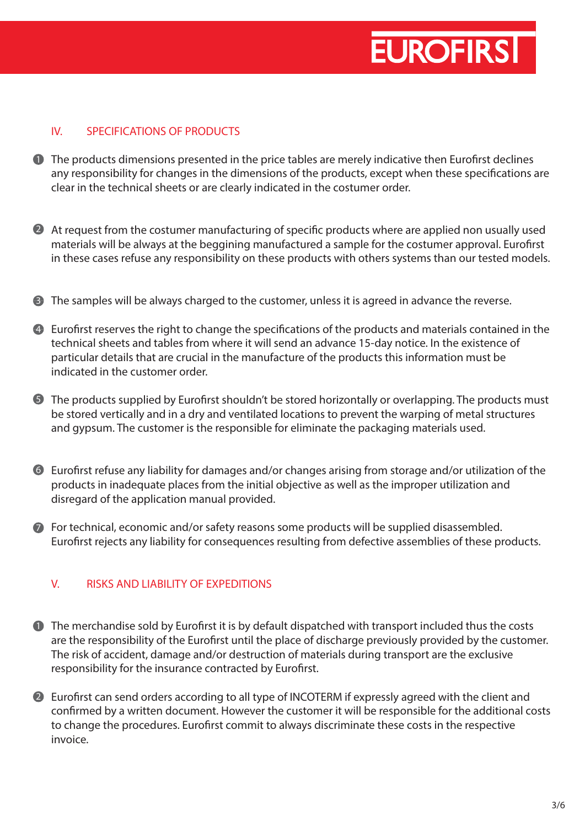### IV. SPECIFICATIONS OF PRODUCTS

- $\blacksquare$  The products dimensions presented in the price tables are merely indicative then Eurofirst declines any responsibility for changes in the dimensions of the products, except when these specifications are clear in the technical sheets or are clearly indicated in the costumer order.
- 2 At request from the costumer manufacturing of specific products where are applied non usually used materials will be always at the beggining manufactured a sample for the costumer approval. Eurofirst in these cases refuse any responsibility on these products with others systems than our tested models.
- **3** The samples will be always charged to the customer, unless it is agreed in advance the reverse.
- 4 Eurofirst reserves the right to change the specifications of the products and materials contained in the technical sheets and tables from where it will send an advance 15-day notice. In the existence of particular details that are crucial in the manufacture of the products this information must be indicated in the customer order.
- $5$  The products supplied by Eurofirst shouldn't be stored horizontally or overlapping. The products must be stored vertically and in a dry and ventilated locations to prevent the warping of metal structures and gypsum. The customer is the responsible for eliminate the packaging materials used.
- $\bullet$  Eurofirst refuse any liability for damages and/or changes arising from storage and/or utilization of the products in inadequate places from the initial objective as well as the improper utilization and disregard of the application manual provided.
- 7 For technical, economic and/or safety reasons some products will be supplied disassembled. Eurofirst rejects any liability for consequences resulting from defective assemblies of these products.

### V. RISKS AND LIABILITY OF EXPEDITIONS

- $\blacksquare$  The merchandise sold by Eurofirst it is by default dispatched with transport included thus the costs are the responsibility of the Eurofirst until the place of discharge previously provided by the customer. The risk of accident, damage and/or destruction of materials during transport are the exclusive responsibility for the insurance contracted by Eurofirst.
- 2 Eurofirst can send orders according to all type of INCOTERM if expressly agreed with the client and confirmed by a written document. However the customer it will be responsible for the additional costs to change the procedures. Eurofirst commit to always discriminate these costs in the respective invoice.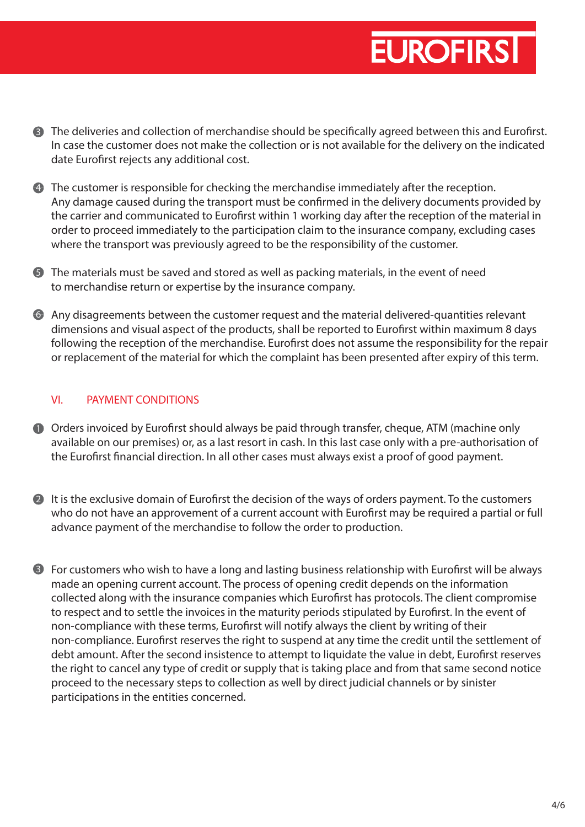- **3** The deliveries and collection of merchandise should be specifically agreed between this and Eurofirst. In case the customer does not make the collection or is not available for the delivery on the indicated date Eurofirst rejects any additional cost.
- The customer is responsible for checking the merchandise immediately after the reception. 4 Any damage caused during the transport must be confirmed in the delivery documents provided by the carrier and communicated to Eurofirst within 1 working day after the reception of the material in order to proceed immediately to the participation claim to the insurance company, excluding cases where the transport was previously agreed to be the responsibility of the customer.
- **5** The materials must be saved and stored as well as packing materials, in the event of need to merchandise return or expertise by the insurance company.
- $\bullet$  Any disagreements between the customer request and the material delivered-quantities relevant dimensions and visual aspect of the products, shall be reported to Eurofirst within maximum 8 days following the reception of the merchandise. Eurofirst does not assume the responsibility for the repair or replacement of the material for which the complaint has been presented after expiry of this term.

### VI. PAYMENT CONDITIONS

- **D** Orders invoiced by Eurofirst should always be paid through transfer, cheque, ATM (machine only available on our premises) or, as a last resort in cash. In this last case only with a pre-authorisation of the Eurofirst financial direction. In all other cases must always exist a proof of good payment.
- $\blacksquare$  It is the exclusive domain of Eurofirst the decision of the ways of orders payment. To the customers who do not have an approvement of a current account with Eurofirst may be required a partial or full advance payment of the merchandise to follow the order to production.
- **3** For customers who wish to have a long and lasting business relationship with Eurofirst will be always made an opening current account. The process of opening credit depends on the information collected along with the insurance companies which Eurofirst has protocols. The client compromise to respect and to settle the invoices in the maturity periods stipulated by Eurofirst. In the event of non-compliance with these terms, Eurofirst will notify always the client by writing of their non-compliance. Eurofirst reserves the right to suspend at any time the credit until the settlement of debt amount. After the second insistence to attempt to liquidate the value in debt, Eurofirst reserves the right to cancel any type of credit or supply that is taking place and from that same second notice proceed to the necessary steps to collection as well by direct judicial channels or by sinister participations in the entities concerned.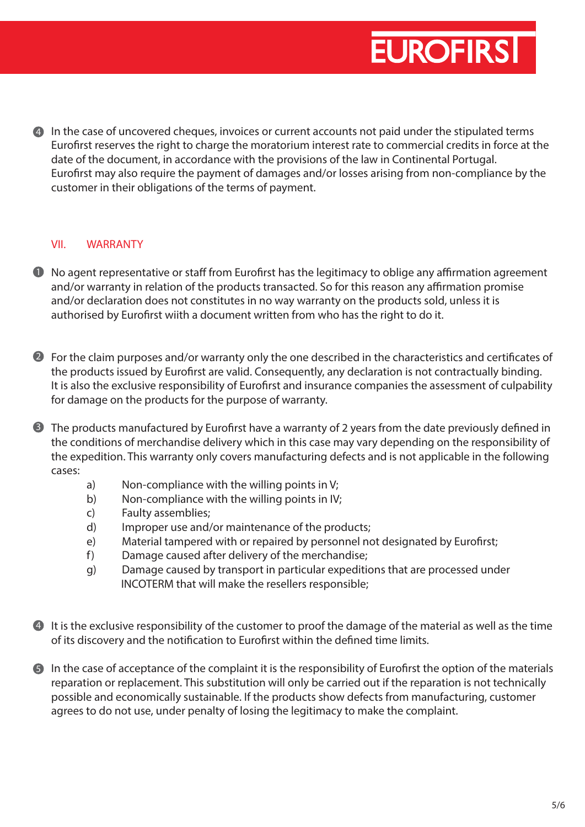4 In the case of uncovered cheques, invoices or current accounts not paid under the stipulated terms Eurofirst reserves the right to charge the moratorium interest rate to commercial credits in force at the date of the document, in accordance with the provisions of the law in Continental Portugal. Eurofirst may also require the payment of damages and/or losses arising from non-compliance by the customer in their obligations of the terms of payment.

#### VII. WARRANTY

- $\blacksquare$  No agent representative or staff from Eurofirst has the legitimacy to oblige any affirmation agreement and/or warranty in relation of the products transacted. So for this reason any affirmation promise and/or declaration does not constitutes in no way warranty on the products sold, unless it is authorised by Eurofirst wiith a document written from who has the right to do it.
- 2 For the claim purposes and/or warranty only the one described in the characteristics and certificates of the products issued by Eurofirst are valid. Consequently, any declaration is not contractually binding. It is also the exclusive responsibility of Eurofirst and insurance companies the assessment of culpability for damage on the products for the purpose of warranty.
- $3$  The products manufactured by Eurofirst have a warranty of 2 years from the date previously defined in the conditions of merchandise delivery which in this case may vary depending on the responsibility of the expedition. This warranty only covers manufacturing defects and is not applicable in the following cases:
	- a) Non-compliance with the willing points in V;
	- b) Non-compliance with the willing points in IV;
	- c) Faulty assemblies;
	- d) Improper use and/or maintenance of the products;
	- e) Material tampered with or repaired by personnel not designated by Eurofirst;
	- f) Damage caused after delivery of the merchandise;
	- g) Damage caused by transport in particular expeditions that are processed under INCOTERM that will make the resellers responsible;
- It is the exclusive responsibility of the customer to proof the damage of the material as well as the time 4 of its discovery and the notification to Eurofirst within the defined time limits.
- $\blacksquare$  In the case of acceptance of the complaint it is the responsibility of Eurofirst the option of the materials reparation or replacement. This substitution will only be carried out if the reparation is not technically possible and economically sustainable. If the products show defects from manufacturing, customer agrees to do not use, under penalty of losing the legitimacy to make the complaint.